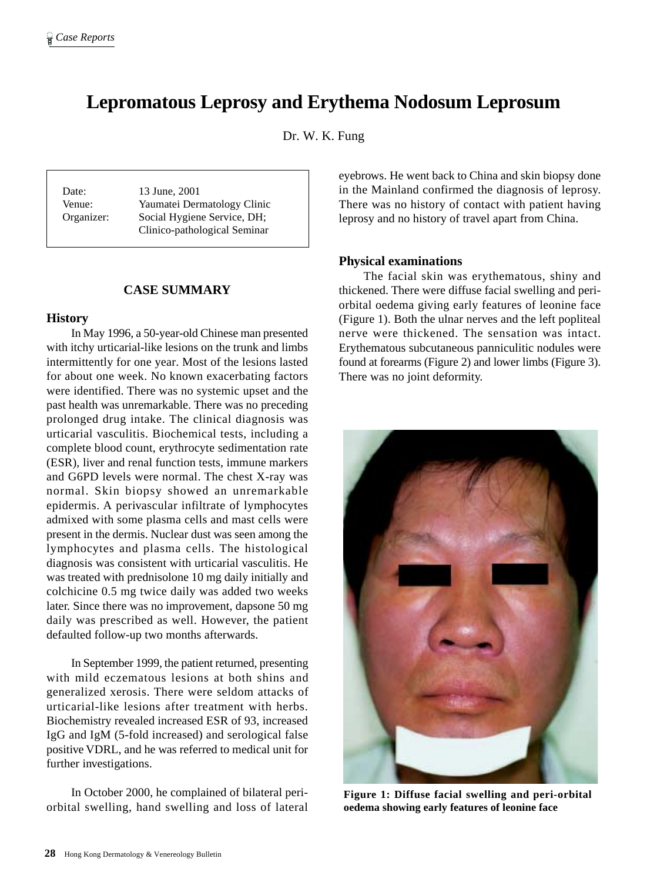# **Lepromatous Leprosy and Erythema Nodosum Leprosum**

Dr. W. K. Fung

Date: 13 June, 2001

Venue: Yaumatei Dermatology Clinic Organizer: Social Hygiene Service, DH; Clinico-pathological Seminar

# **CASE SUMMARY**

## **History**

In May 1996, a 50-year-old Chinese man presented with itchy urticarial-like lesions on the trunk and limbs intermittently for one year. Most of the lesions lasted for about one week. No known exacerbating factors were identified. There was no systemic upset and the past health was unremarkable. There was no preceding prolonged drug intake. The clinical diagnosis was urticarial vasculitis. Biochemical tests, including a complete blood count, erythrocyte sedimentation rate (ESR), liver and renal function tests, immune markers and G6PD levels were normal. The chest X-ray was normal. Skin biopsy showed an unremarkable epidermis. A perivascular infiltrate of lymphocytes admixed with some plasma cells and mast cells were present in the dermis. Nuclear dust was seen among the lymphocytes and plasma cells. The histological diagnosis was consistent with urticarial vasculitis. He was treated with prednisolone 10 mg daily initially and colchicine 0.5 mg twice daily was added two weeks later. Since there was no improvement, dapsone 50 mg daily was prescribed as well. However, the patient defaulted follow-up two months afterwards.

In September 1999, the patient returned, presenting with mild eczematous lesions at both shins and generalized xerosis. There were seldom attacks of urticarial-like lesions after treatment with herbs. Biochemistry revealed increased ESR of 93, increased IgG and IgM (5-fold increased) and serological false positive VDRL, and he was referred to medical unit for further investigations.

In October 2000, he complained of bilateral periorbital swelling, hand swelling and loss of lateral eyebrows. He went back to China and skin biopsy done in the Mainland confirmed the diagnosis of leprosy. There was no history of contact with patient having leprosy and no history of travel apart from China.

# **Physical examinations**

The facial skin was erythematous, shiny and thickened. There were diffuse facial swelling and periorbital oedema giving early features of leonine face (Figure 1). Both the ulnar nerves and the left popliteal nerve were thickened. The sensation was intact. Erythematous subcutaneous panniculitic nodules were found at forearms (Figure 2) and lower limbs (Figure 3). There was no joint deformity.



**Figure 1: Diffuse facial swelling and peri-orbital oedema showing early features of leonine face**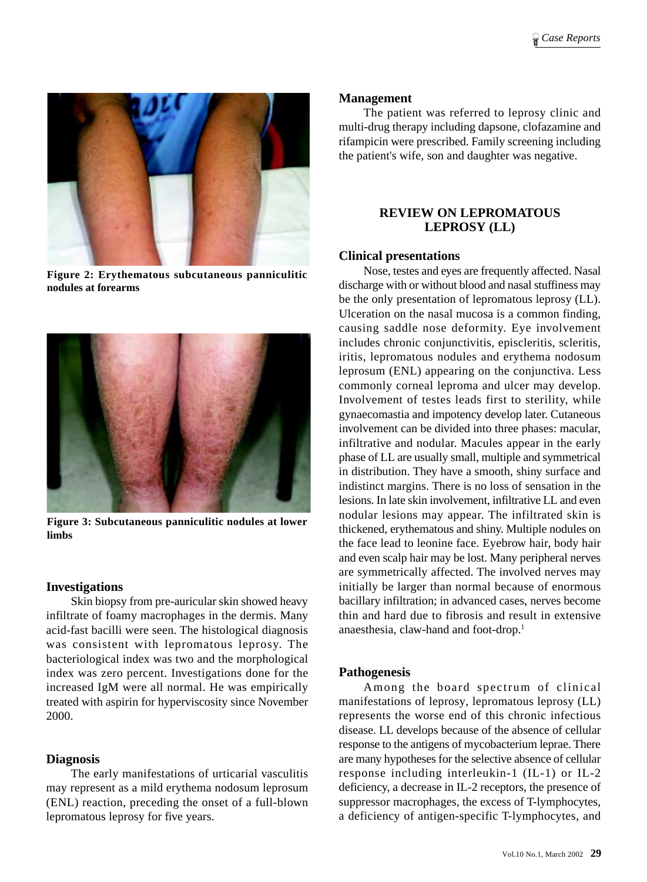

**Figure 2: Erythematous subcutaneous panniculitic nodules at forearms**



**Figure 3: Subcutaneous panniculitic nodules at lower limbs**

## **Investigations**

Skin biopsy from pre-auricular skin showed heavy infiltrate of foamy macrophages in the dermis. Many acid-fast bacilli were seen. The histological diagnosis was consistent with lepromatous leprosy. The bacteriological index was two and the morphological index was zero percent. Investigations done for the increased IgM were all normal. He was empirically treated with aspirin for hyperviscosity since November 2000.

## **Diagnosis**

The early manifestations of urticarial vasculitis may represent as a mild erythema nodosum leprosum (ENL) reaction, preceding the onset of a full-blown lepromatous leprosy for five years.

#### **Management**

The patient was referred to leprosy clinic and multi-drug therapy including dapsone, clofazamine and rifampicin were prescribed. Family screening including the patient's wife, son and daughter was negative.

# **REVIEW ON LEPROMATOUS LEPROSY (LL)**

#### **Clinical presentations**

Nose, testes and eyes are frequently affected. Nasal discharge with or without blood and nasal stuffiness may be the only presentation of lepromatous leprosy (LL). Ulceration on the nasal mucosa is a common finding, causing saddle nose deformity. Eye involvement includes chronic conjunctivitis, episcleritis, scleritis, iritis, lepromatous nodules and erythema nodosum leprosum (ENL) appearing on the conjunctiva. Less commonly corneal leproma and ulcer may develop. Involvement of testes leads first to sterility, while gynaecomastia and impotency develop later. Cutaneous involvement can be divided into three phases: macular, infiltrative and nodular. Macules appear in the early phase of LL are usually small, multiple and symmetrical in distribution. They have a smooth, shiny surface and indistinct margins. There is no loss of sensation in the lesions. In late skin involvement, infiltrative LL and even nodular lesions may appear. The infiltrated skin is thickened, erythematous and shiny. Multiple nodules on the face lead to leonine face. Eyebrow hair, body hair and even scalp hair may be lost. Many peripheral nerves are symmetrically affected. The involved nerves may initially be larger than normal because of enormous bacillary infiltration; in advanced cases, nerves become thin and hard due to fibrosis and result in extensive anaesthesia, claw-hand and foot-drop.1

## **Pathogenesis**

Among the board spectrum of clinical manifestations of leprosy, lepromatous leprosy (LL) represents the worse end of this chronic infectious disease. LL develops because of the absence of cellular response to the antigens of mycobacterium leprae. There are many hypotheses for the selective absence of cellular response including interleukin-1 (IL-1) or IL-2 deficiency, a decrease in IL-2 receptors, the presence of suppressor macrophages, the excess of T-lymphocytes, a deficiency of antigen-specific T-lymphocytes, and